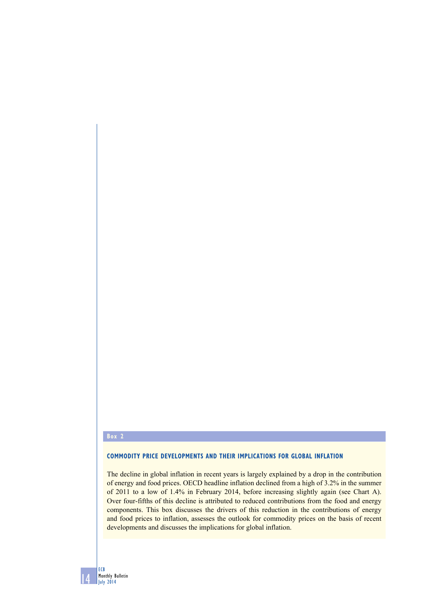## **Box 2**

14

ECB Monthly Bulletin July 2014

## **Commodity price developments and their implications for global inflation**

The decline in global inflation in recent years is largely explained by a drop in the contribution of energy and food prices. OECD headline inflation declined from a high of 3.2% in the summer of 2011 to a low of 1.4% in February 2014, before increasing slightly again (see Chart A). Over four-fifths of this decline is attributed to reduced contributions from the food and energy components. This box discusses the drivers of this reduction in the contributions of energy and food prices to inflation, assesses the outlook for commodity prices on the basis of recent developments and discusses the implications for global inflation.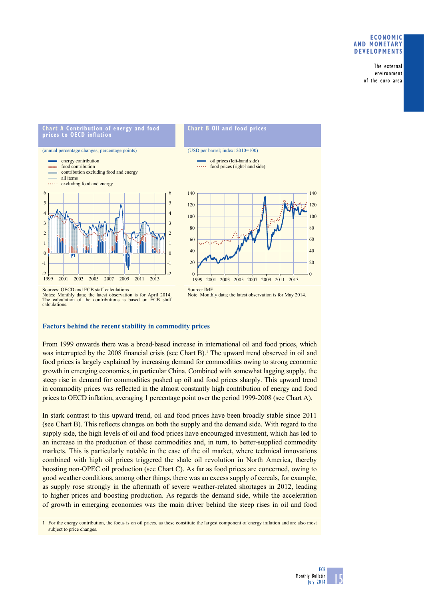### **Economic and monetary developments**

The external environment of the euro area

#### **Chart a Contribution of energy and food prices to oECD inflation**





Sources: OECD and ECB staff calculations. Notes: Monthly data; the latest observation is for April 2014. The calculation of the contributions is based on ECB staff calculations.

# **Factors behind the recent stability in commodity prices**

From 1999 onwards there was a broad-based increase in international oil and food prices, which was interrupted by the 2008 financial crisis (see Chart  $B$ ).<sup>1</sup> The upward trend observed in oil and food prices is largely explained by increasing demand for commodities owing to strong economic growth in emerging economies, in particular China. Combined with somewhat lagging supply, the steep rise in demand for commodities pushed up oil and food prices sharply. This upward trend in commodity prices was reflected in the almost constantly high contribution of energy and food prices to OECD inflation, averaging 1 percentage point over the period 1999-2008 (see Chart A).

In stark contrast to this upward trend, oil and food prices have been broadly stable since 2011 (see Chart B). This reflects changes on both the supply and the demand side. With regard to the supply side, the high levels of oil and food prices have encouraged investment, which has led to an increase in the production of these commodities and, in turn, to better-supplied commodity markets. This is particularly notable in the case of the oil market, where technical innovations combined with high oil prices triggered the shale oil revolution in North America, thereby boosting non-OPEC oil production (see Chart C). As far as food prices are concerned, owing to good weather conditions, among other things, there was an excess supply of cereals, for example, as supply rose strongly in the aftermath of severe weather-related shortages in 2012, leading to higher prices and boosting production. As regards the demand side, while the acceleration of growth in emerging economies was the main driver behind the steep rises in oil and food

1 For the energy contribution, the focus is on oil prices, as these constitute the largest component of energy inflation and are also most subject to price changes.

15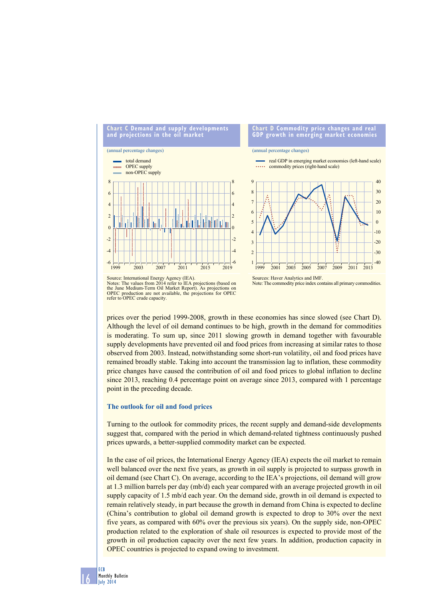

Source: International Energy Agency (IEA). Notes: The values from 2014 refer to IEA projections (based on the June Medium-Term Oil Market Report). As projections or<br>OPEC production are not available, the projections for OPEC production are not available, the projections for OPEC refer to OPEC crude capacity.



prices over the period 1999-2008, growth in these economies has since slowed (see Chart D). Although the level of oil demand continues to be high, growth in the demand for commodities is moderating. To sum up, since 2011 slowing growth in demand together with favourable supply developments have prevented oil and food prices from increasing at similar rates to those observed from 2003. Instead, notwithstanding some short-run volatility, oil and food prices have remained broadly stable. Taking into account the transmission lag to inflation, these commodity price changes have caused the contribution of oil and food prices to global inflation to decline since 2013, reaching 0.4 percentage point on average since 2013, compared with 1 percentage point in the preceding decade.

#### **The outlook for oil and food prices**

Turning to the outlook for commodity prices, the recent supply and demand-side developments suggest that, compared with the period in which demand-related tightness continuously pushed prices upwards, a better-supplied commodity market can be expected.

In the case of oil prices, the International Energy Agency (IEA) expects the oil market to remain well balanced over the next five years, as growth in oil supply is projected to surpass growth in oil demand (see Chart C). On average, according to the IEA's projections, oil demand will grow at 1.3 million barrels per day (mb/d) each year compared with an average projected growth in oil supply capacity of 1.5 mb/d each year. On the demand side, growth in oil demand is expected to remain relatively steady, in part because the growth in demand from China is expected to decline (China's contribution to global oil demand growth is expected to drop to 30% over the next five years, as compared with 60% over the previous six years). On the supply side, non-OPEC production related to the exploration of shale oil resources is expected to provide most of the growth in oil production capacity over the next few years. In addition, production capacity in OPEC countries is projected to expand owing to investment.